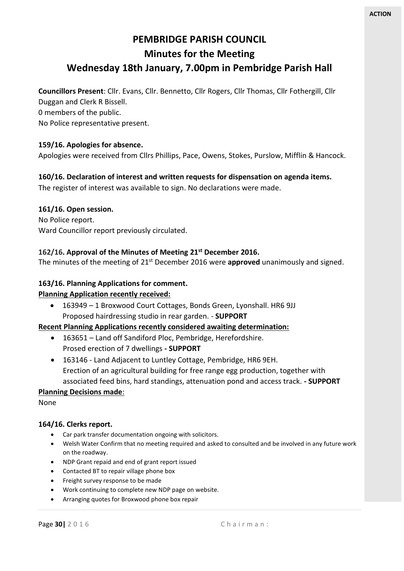# **PEMBRIDGE PARISH COUNCIL Minutes for the Meeting**

### **Wednesday 18th January, 7.00pm in Pembridge Parish Hall**

**Councillors Present**: Cllr. Evans, Cllr. Bennetto, Cllr Rogers, Cllr Thomas, Cllr Fothergill, Cllr

Duggan and Clerk R Bissell.

0 members of the public.

No Police representative present.

#### **159/16. Apologies for absence.**

Apologies were received from Cllrs Phillips, Pace, Owens, Stokes, Purslow, Mifflin & Hancock.

### **160/16. Declaration of interest and written requests for dispensation on agenda items.**

The register of interest was available to sign. No declarations were made.

#### **161/16. Open session.**

No Police report. Ward Councillor report previously circulated.

#### **162/16. Approval of the Minutes of Meeting 21st December 2016.**

The minutes of the meeting of 21st December 2016 were **approved** unanimously and signed.

#### **163/16. Planning Applications for comment.**

#### **Planning Application recently received:**

 163949 – 1 Broxwood Court Cottages, Bonds Green, Lyonshall. HR6 9JJ Proposed hairdressing studio in rear garden. - **SUPPORT**

#### **Recent Planning Applications recently considered awaiting determination:**

- 163651 Land off Sandiford Ploc, Pembridge, Herefordshire. Prosed erection of 7 dwellings **- SUPPORT**
- 163146 Land Adjacent to Luntley Cottage, Pembridge, HR6 9EH. Erection of an agricultural building for free range egg production, together with associated feed bins, hard standings, attenuation pond and access track. **- SUPPORT**

#### **Planning Decisions made**:

None

#### **164/16. Clerks report.**

- Car park transfer documentation ongoing with solicitors.
- Welsh Water Confirm that no meeting required and asked to consulted and be involved in any future work on the roadway.
- NDP Grant repaid and end of grant report issued
- Contacted BT to repair village phone box
- Freight survey response to be made
- Work continuing to complete new NDP page on website.
- Arranging quotes for Broxwood phone box repair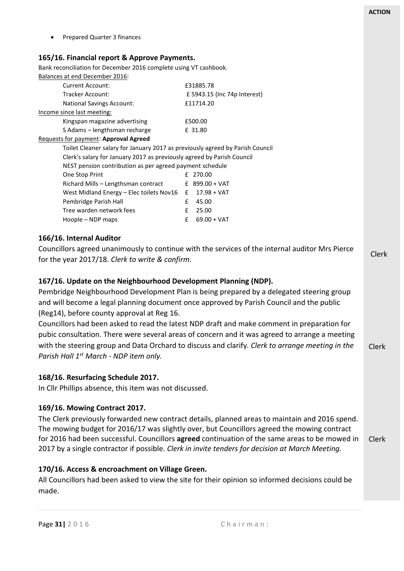Clerk Clerk Clerk Prepared Quarter 3 finances **165/16. Financial report & Approve Payments.** Bank reconciliation for December 2016 complete using VT cashbook. Balances at end December 2016: Current Account: <br>
£31885.78 Tracker Account: £ 5943.15 (Inc 74p Interest) National Savings Account: £11714.20 Income since last meeting: Kingspan magazine advertising £500.00 S Adams – lengthsman recharge F 31.80 Requests for payment: **Approval Agreed** Toilet Cleaner salary for January 2017 as previously agreed by Parish Council Clerk's salary for January 2017 as previously agreed by Parish Council NEST pension contribution as per agreed payment schedule One Stop Print F 270.00 Richard Mills – Lengthsman contract £ 899.00 + VAT West Midland Energy – Elec toilets Nov16 £ 17.98 + VAT Pembridge Parish Hall **E** 45.00 Tree warden network fees <br>
F 25.00 Hoople – NDP maps  $\epsilon$  69.00 + VAT **166/16. Internal Auditor**  Councillors agreed unanimously to continue with the services of the internal auditor Mrs Pierce for the year 2017/18. *Clerk to write & confirm.* **167/16. Update on the Neighbourhood Development Planning (NDP).** Pembridge Neighbourhood Development Plan is being prepared by a delegated steering group and will become a legal planning document once approved by Parish Council and the public (Reg14), before county approval at Reg 16. Councillors had been asked to read the latest NDP draft and make comment in preparation for pubic consultation. There were several areas of concern and it was agreed to arrange a meeting with the steering group and Data Orchard to discuss and clarify*. Clerk to arrange meeting in the Parish Hall 1st March - NDP item only.*  **168/16. Resurfacing Schedule 2017.** In Cllr Phillips absence, this item was not discussed. **169/16. Mowing Contract 2017.** The Clerk previously forwarded new contract details, planned areas to maintain and 2016 spend. The mowing budget for 2016/17 was slightly over, but Councillors agreed the mowing contract for 2016 had been successful. Councillors **agreed** continuation of the same areas to be mowed in 2017 by a single contractor if possible. *Clerk in invite tenders for decision at March Meeting.*

All Councillors had been asked to view the site for their opinion so informed decisions could be made.